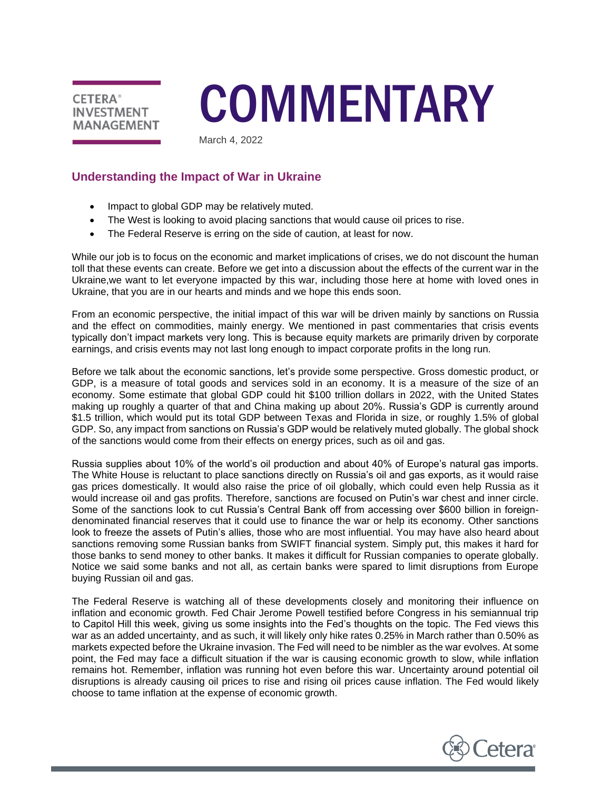

# **COMMENTARY**

March 4, 2022

# **Understanding the Impact of War in Ukraine**

- Impact to global GDP may be relatively muted.
- The West is looking to avoid placing sanctions that would cause oil prices to rise.
- The Federal Reserve is erring on the side of caution, at least for now.

While our job is to focus on the economic and market implications of crises, we do not discount the human toll that these events can create. Before we get into a discussion about the effects of the current war in the Ukraine,we want to let everyone impacted by this war, including those here at home with loved ones in Ukraine, that you are in our hearts and minds and we hope this ends soon.

From an economic perspective, the initial impact of this war will be driven mainly by sanctions on Russia and the effect on commodities, mainly energy. We mentioned in past commentaries that crisis events typically don't impact markets very long. This is because equity markets are primarily driven by corporate earnings, and crisis events may not last long enough to impact corporate profits in the long run.

Before we talk about the economic sanctions, let's provide some perspective. Gross domestic product, or GDP, is a measure of total goods and services sold in an economy. It is a measure of the size of an economy. Some estimate that global GDP could hit \$100 trillion dollars in 2022, with the United States making up roughly a quarter of that and China making up about 20%. Russia's GDP is currently around \$1.5 trillion, which would put its total GDP between Texas and Florida in size, or roughly 1.5% of global GDP. So, any impact from sanctions on Russia's GDP would be relatively muted globally. The global shock of the sanctions would come from their effects on energy prices, such as oil and gas.

Russia supplies about 10% of the world's oil production and about 40% of Europe's natural gas imports. The White House is reluctant to place sanctions directly on Russia's oil and gas exports, as it would raise gas prices domestically. It would also raise the price of oil globally, which could even help Russia as it would increase oil and gas profits. Therefore, sanctions are focused on Putin's war chest and inner circle. Some of the sanctions look to cut Russia's Central Bank off from accessing over \$600 billion in foreigndenominated financial reserves that it could use to finance the war or help its economy. Other sanctions look to freeze the assets of Putin's allies, those who are most influential. You may have also heard about sanctions removing some Russian banks from SWIFT financial system. Simply put, this makes it hard for those banks to send money to other banks. It makes it difficult for Russian companies to operate globally. Notice we said some banks and not all, as certain banks were spared to limit disruptions from Europe buying Russian oil and gas.

The Federal Reserve is watching all of these developments closely and monitoring their influence on inflation and economic growth. Fed Chair Jerome Powell testified before Congress in his semiannual trip to Capitol Hill this week, giving us some insights into the Fed's thoughts on the topic. The Fed views this war as an added uncertainty, and as such, it will likely only hike rates 0.25% in March rather than 0.50% as markets expected before the Ukraine invasion. The Fed will need to be nimbler as the war evolves. At some point, the Fed may face a difficult situation if the war is causing economic growth to slow, while inflation remains hot. Remember, inflation was running hot even before this war. Uncertainty around potential oil disruptions is already causing oil prices to rise and rising oil prices cause inflation. The Fed would likely choose to tame inflation at the expense of economic growth.